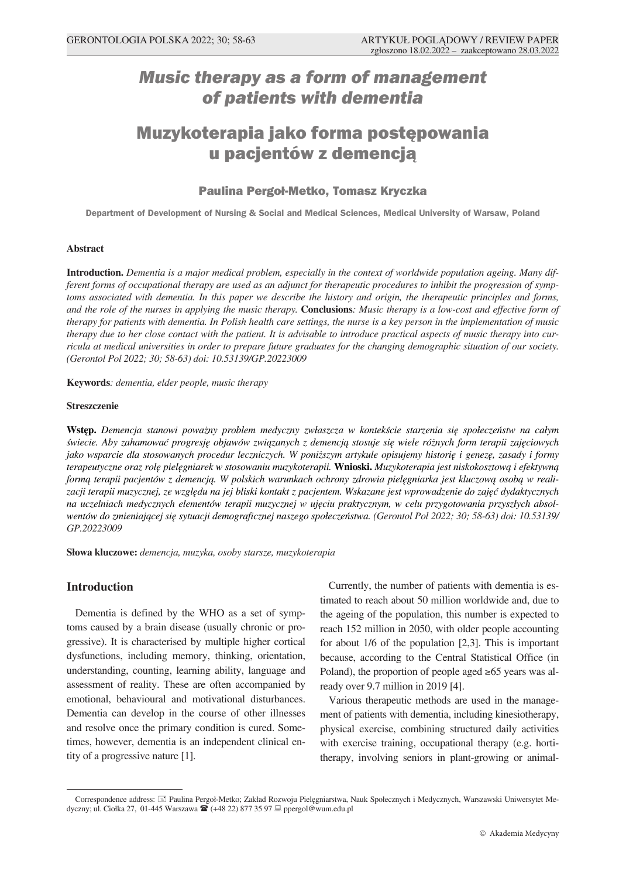# *Music therapy as a form of management of patients with dementia*

# Muzykoterapia jako forma postępowania u pacjentów z demencją

## Paulina Pergoł-Metko, Tomasz Kryczka

**Department of Development of Nursing & Social and Medical Sciences, Medical University of Warsaw, Poland**

#### **Abstract**

**Introduction.** *Dementia is a major medical problem, especially in the context of worldwide population ageing. Many different forms of occupational therapy are used as an adjunct for therapeutic procedures to inhibit the progression of symptoms associated with dementia. In this paper we describe the history and origin, the therapeutic principles and forms, and the role of the nurses in applying the music therapy.* **Conclusions***: Music therapy is a low-cost and effective form of therapy for patients with dementia. In Polish health care settings, the nurse is a key person in the implementation of music therapy due to her close contact with the patient. It is advisable to introduce practical aspects of music therapy into curricula at medical universities in order to prepare future graduates for the changing demographic situation of our society. (Gerontol Pol 2022; 30; 58-63) doi: 10.53139/GP.20223009*

**Keywords***: dementia, elder people, music therapy*

#### **Streszczenie**

**Wstęp.** *Demencja stanowi poważny problem medyczny zwłaszcza w kontekście starzenia się społeczeństw na całym świecie. Aby zahamować progresję objawów związanych z demencją stosuje się wiele różnych form terapii zajęciowych jako wsparcie dla stosowanych procedur leczniczych. W poniższym artykule opisujemy historię i genezę, zasady i formy terapeutyczne oraz rolę pielęgniarek w stosowaniu muzykoterapii.* **Wnioski.** *Muzykoterapia jest niskokosztową i efektywną formą terapii pacjentów z demencją. W polskich warunkach ochrony zdrowia pielęgniarka jest kluczową osobą w realizacji terapii muzycznej, ze względu na jej bliski kontakt z pacjentem. Wskazane jest wprowadzenie do zajęć dydaktycznych na uczelniach medycznych elementów terapii muzycznej w ujęciu praktycznym, w celu przygotowania przyszłych absolwentów do zmieniającej się sytuacji demograficznej naszego społeczeństwa. (Gerontol Pol 2022; 30; 58-63) doi: 10.53139/ GP.20223009*

**Słowa kluczowe:** *demencja, muzyka, osoby starsze, muzykoterapia*

## **Introduction**

Dementia is defined by the WHO as a set of symptoms caused by a brain disease (usually chronic or progressive). It is characterised by multiple higher cortical dysfunctions, including memory, thinking, orientation, understanding, counting, learning ability, language and assessment of reality. These are often accompanied by emotional, behavioural and motivational disturbances. Dementia can develop in the course of other illnesses and resolve once the primary condition is cured. Sometimes, however, dementia is an independent clinical entity of a progressive nature [1].

Currently, the number of patients with dementia is estimated to reach about 50 million worldwide and, due to the ageing of the population, this number is expected to reach 152 million in 2050, with older people accounting for about 1/6 of the population [2,3]. This is important because, according to the Central Statistical Office (in Poland), the proportion of people aged ≥65 years was already over 9.7 million in 2019 [4].

Various therapeutic methods are used in the management of patients with dementia, including kinesiotherapy, physical exercise, combining structured daily activities with exercise training, occupational therapy (e.g. hortitherapy, involving seniors in plant-growing or animal-

Correspondence address: Paulina Pergoł-Metko; Zakład Rozwoju Pielęgniarstwa, Nauk Społecznych i Medycznych, Warszawski Uniwersytet Medyczny; ul. Ciołka 27, 01-445 Warszawa <sup>2</sup> (+48 22) 877 35 97 <sub>→</sub> ppergol@wum.edu.pl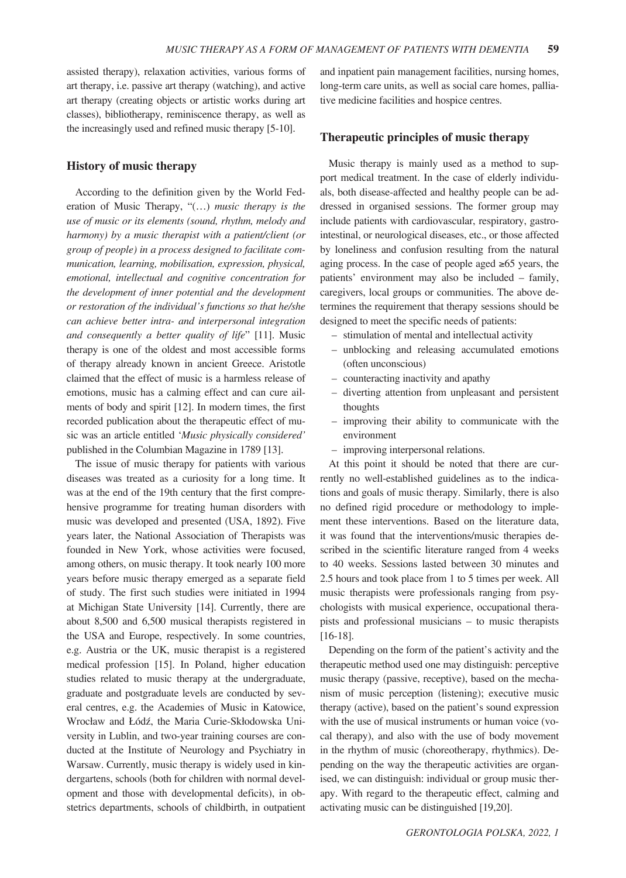assisted therapy), relaxation activities, various forms of art therapy, i.e. passive art therapy (watching), and active art therapy (creating objects or artistic works during art classes), bibliotherapy, reminiscence therapy, as well as the increasingly used and refined music therapy [5-10].

#### **History of music therapy**

According to the definition given by the World Federation of Music Therapy, "(…) *music therapy is the use of music or its elements (sound, rhythm, melody and harmony) by a music therapist with a patient/client (or group of people) in a process designed to facilitate communication, learning, mobilisation, expression, physical, emotional, intellectual and cognitive concentration for the development of inner potential and the development or restoration of the individual's functions so that he/she can achieve better intra- and interpersonal integration and consequently a better quality of life*" [11]. Music therapy is one of the oldest and most accessible forms of therapy already known in ancient Greece. Aristotle claimed that the effect of music is a harmless release of emotions, music has a calming effect and can cure ailments of body and spirit [12]. In modern times, the first recorded publication about the therapeutic effect of music was an article entitled '*Music physically considered'*  published in the Columbian Magazine in 1789 [13].

The issue of music therapy for patients with various diseases was treated as a curiosity for a long time. It was at the end of the 19th century that the first comprehensive programme for treating human disorders with music was developed and presented (USA, 1892). Five years later, the National Association of Therapists was founded in New York, whose activities were focused, among others, on music therapy. It took nearly 100 more years before music therapy emerged as a separate field of study. The first such studies were initiated in 1994 at Michigan State University [14]. Currently, there are about 8,500 and 6,500 musical therapists registered in the USA and Europe, respectively. In some countries, e.g. Austria or the UK, music therapist is a registered medical profession [15]. In Poland, higher education studies related to music therapy at the undergraduate, graduate and postgraduate levels are conducted by several centres, e.g. the Academies of Music in Katowice, Wrocław and Łódź, the Maria Curie-Skłodowska University in Lublin, and two-year training courses are conducted at the Institute of Neurology and Psychiatry in Warsaw. Currently, music therapy is widely used in kindergartens, schools (both for children with normal development and those with developmental deficits), in obstetrics departments, schools of childbirth, in outpatient and inpatient pain management facilities, nursing homes, long-term care units, as well as social care homes, palliative medicine facilities and hospice centres.

#### **Therapeutic principles of music therapy**

Music therapy is mainly used as a method to support medical treatment. In the case of elderly individuals, both disease-affected and healthy people can be addressed in organised sessions. The former group may include patients with cardiovascular, respiratory, gastrointestinal, or neurological diseases, etc., or those affected by loneliness and confusion resulting from the natural aging process. In the case of people aged  $\geq 65$  years, the patients' environment may also be included – family, caregivers, local groups or communities. The above determines the requirement that therapy sessions should be designed to meet the specific needs of patients:

- stimulation of mental and intellectual activity
- unblocking and releasing accumulated emotions (often unconscious)
- counteracting inactivity and apathy
- diverting attention from unpleasant and persistent thoughts
- improving their ability to communicate with the environment
- improving interpersonal relations.

At this point it should be noted that there are currently no well-established guidelines as to the indications and goals of music therapy. Similarly, there is also no defined rigid procedure or methodology to implement these interventions. Based on the literature data, it was found that the interventions/music therapies described in the scientific literature ranged from 4 weeks to 40 weeks. Sessions lasted between 30 minutes and 2.5 hours and took place from 1 to 5 times per week. All music therapists were professionals ranging from psychologists with musical experience, occupational therapists and professional musicians – to music therapists [16-18].

Depending on the form of the patient's activity and the therapeutic method used one may distinguish: perceptive music therapy (passive, receptive), based on the mechanism of music perception (listening); executive music therapy (active), based on the patient's sound expression with the use of musical instruments or human voice (vocal therapy), and also with the use of body movement in the rhythm of music (choreotherapy, rhythmics). Depending on the way the therapeutic activities are organised, we can distinguish: individual or group music therapy. With regard to the therapeutic effect, calming and activating music can be distinguished [19,20].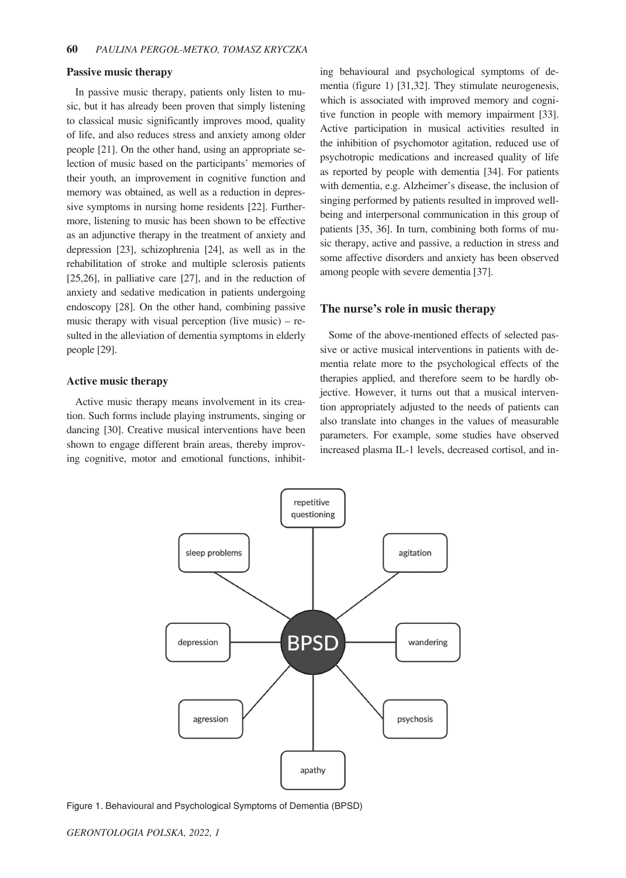#### **Passive music therapy**

In passive music therapy, patients only listen to music, but it has already been proven that simply listening to classical music significantly improves mood, quality of life, and also reduces stress and anxiety among older people [21]. On the other hand, using an appropriate selection of music based on the participants' memories of their youth, an improvement in cognitive function and memory was obtained, as well as a reduction in depressive symptoms in nursing home residents [22]. Furthermore, listening to music has been shown to be effective as an adjunctive therapy in the treatment of anxiety and depression [23], schizophrenia [24], as well as in the rehabilitation of stroke and multiple sclerosis patients [25,26], in palliative care [27], and in the reduction of anxiety and sedative medication in patients undergoing endoscopy [28]. On the other hand, combining passive music therapy with visual perception (live music) – resulted in the alleviation of dementia symptoms in elderly people [29].

### **Active music therapy**

Active music therapy means involvement in its creation. Such forms include playing instruments, singing or dancing [30]. Creative musical interventions have been shown to engage different brain areas, thereby improving cognitive, motor and emotional functions, inhibiting behavioural and psychological symptoms of dementia (figure 1) [31,32]. They stimulate neurogenesis, which is associated with improved memory and cognitive function in people with memory impairment [33]. Active participation in musical activities resulted in the inhibition of psychomotor agitation, reduced use of psychotropic medications and increased quality of life as reported by people with dementia [34]. For patients with dementia, e.g. Alzheimer's disease, the inclusion of singing performed by patients resulted in improved wellbeing and interpersonal communication in this group of patients [35, 36]. In turn, combining both forms of music therapy, active and passive, a reduction in stress and some affective disorders and anxiety has been observed among people with severe dementia [37].

## **The nurse's role in music therapy**

Some of the above-mentioned effects of selected passive or active musical interventions in patients with dementia relate more to the psychological effects of the therapies applied, and therefore seem to be hardly objective. However, it turns out that a musical intervention appropriately adjusted to the needs of patients can also translate into changes in the values of measurable parameters. For example, some studies have observed increased plasma IL-1 levels, decreased cortisol, and in-



Figure 1. Behavioural and Psychological Symptoms of Dementia (BPSD)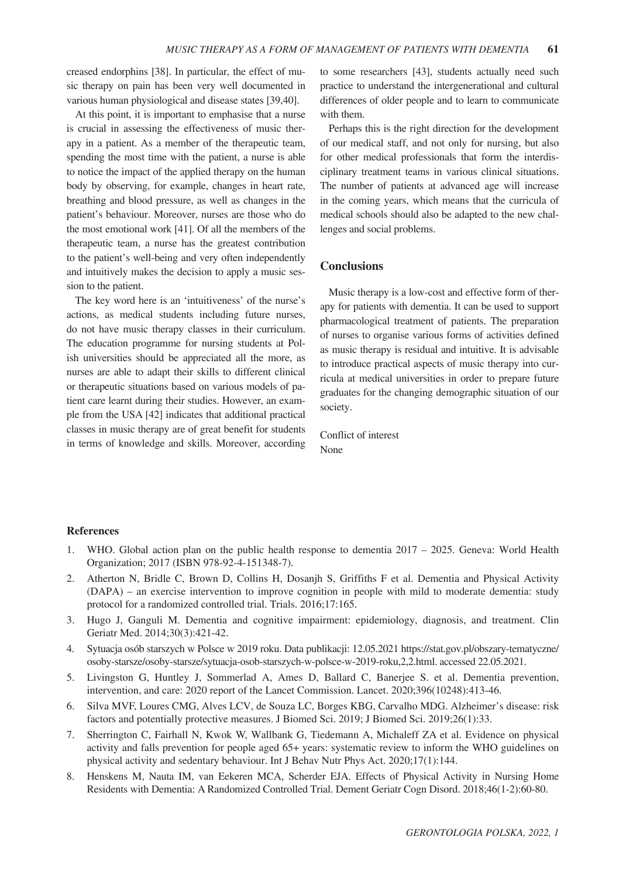creased endorphins [38]. In particular, the effect of music therapy on pain has been very well documented in various human physiological and disease states [39,40].

At this point, it is important to emphasise that a nurse is crucial in assessing the effectiveness of music therapy in a patient. As a member of the therapeutic team, spending the most time with the patient, a nurse is able to notice the impact of the applied therapy on the human body by observing, for example, changes in heart rate, breathing and blood pressure, as well as changes in the patient's behaviour. Moreover, nurses are those who do the most emotional work [41]. Of all the members of the therapeutic team, a nurse has the greatest contribution to the patient's well-being and very often independently and intuitively makes the decision to apply a music session to the patient.

The key word here is an 'intuitiveness' of the nurse's actions, as medical students including future nurses, do not have music therapy classes in their curriculum. The education programme for nursing students at Polish universities should be appreciated all the more, as nurses are able to adapt their skills to different clinical or therapeutic situations based on various models of patient care learnt during their studies. However, an example from the USA [42] indicates that additional practical classes in music therapy are of great benefit for students in terms of knowledge and skills. Moreover, according to some researchers [43], students actually need such practice to understand the intergenerational and cultural differences of older people and to learn to communicate with them.

Perhaps this is the right direction for the development of our medical staff, and not only for nursing, but also for other medical professionals that form the interdisciplinary treatment teams in various clinical situations. The number of patients at advanced age will increase in the coming years, which means that the curricula of medical schools should also be adapted to the new challenges and social problems.

## **Conclusions**

Music therapy is a low-cost and effective form of therapy for patients with dementia. It can be used to support pharmacological treatment of patients. The preparation of nurses to organise various forms of activities defined as music therapy is residual and intuitive. It is advisable to introduce practical aspects of music therapy into curricula at medical universities in order to prepare future graduates for the changing demographic situation of our society.

Conflict of interest None

#### **References**

- 1. WHO. Global action plan on the public health response to dementia 2017 2025. Geneva: World Health Organization; 2017 (ISBN 978-92-4-151348-7).
- 2. Atherton N, Bridle C, Brown D, Collins H, Dosanjh S, Griffiths F et al. Dementia and Physical Activity (DAPA) – an exercise intervention to improve cognition in people with mild to moderate dementia: study protocol for a randomized controlled trial. Trials. 2016;17:165.
- 3. Hugo J, Ganguli M. Dementia and cognitive impairment: epidemiology, diagnosis, and treatment. Clin Geriatr Med. 2014;30(3):421-42.
- 4. Sytuacja osób starszych w Polsce w 2019 roku. Data publikacji: 12.05.2021 https://stat.gov.pl/obszary-tematyczne/ osoby-starsze/osoby-starsze/sytuacja-osob-starszych-w-polsce-w-2019-roku,2,2.html. accessed 22.05.2021.
- 5. Livingston G, Huntley J, Sommerlad A, Ames D, Ballard C, Banerjee S. et al. Dementia prevention, intervention, and care: 2020 report of the Lancet Commission. Lancet. 2020;396(10248):413-46.
- 6. Silva MVF, Loures CMG, Alves LCV, de Souza LC, Borges KBG, Carvalho MDG. Alzheimer's disease: risk factors and potentially protective measures. J Biomed Sci. 2019; J Biomed Sci. 2019;26(1):33.
- 7. Sherrington C, Fairhall N, Kwok W, Wallbank G, Tiedemann A, Michaleff ZA et al. Evidence on physical activity and falls prevention for people aged 65+ years: systematic review to inform the WHO guidelines on physical activity and sedentary behaviour. Int J Behav Nutr Phys Act. 2020;17(1):144.
- 8. Henskens M, Nauta IM, van Eekeren MCA, Scherder EJA. Effects of Physical Activity in Nursing Home Residents with Dementia: A Randomized Controlled Trial. Dement Geriatr Cogn Disord. 2018;46(1-2):60-80.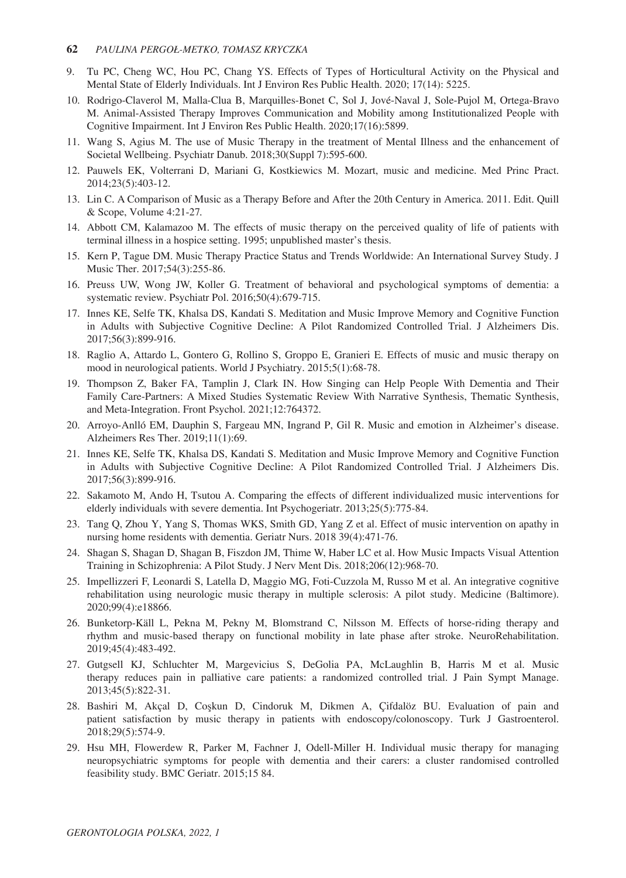### **62** *PAULINA PERGOŁ-METKO, TOMASZ KRYCZKA*

- 9. Tu PC, Cheng WC, Hou PC, Chang YS. Effects of Types of Horticultural Activity on the Physical and Mental State of Elderly Individuals. Int J Environ Res Public Health. 2020; 17(14): 5225.
- 10. Rodrigo-Claverol M, Malla-Clua B, Marquilles-Bonet C, Sol J, Jové-Naval J, Sole-Pujol M, Ortega-Bravo M. Animal-Assisted Therapy Improves Communication and Mobility among Institutionalized People with Cognitive Impairment. Int J Environ Res Public Health. 2020;17(16):5899.
- 11. Wang S, Agius M. The use of Music Therapy in the treatment of Mental Illness and the enhancement of Societal Wellbeing. Psychiatr Danub. 2018;30(Suppl 7):595-600.
- 12. Pauwels EK, Volterrani D, Mariani G, Kostkiewics M. Mozart, music and medicine. Med Princ Pract. 2014;23(5):403-12.
- 13. Lin C. A Comparison of Music as a Therapy Before and After the 20th Century in America. 2011. Edit. Quill & Scope, Volume 4:21-27*.*
- 14. Abbott CM, Kalamazoo M. The effects of music therapy on the perceived quality of life of patients with terminal illness in a hospice setting. 1995; unpublished master's thesis.
- 15. Kern P, Tague DM. Music Therapy Practice Status and Trends Worldwide: An International Survey Study. J Music Ther. 2017;54(3):255-86.
- 16. Preuss UW, Wong JW, Koller G. Treatment of behavioral and psychological symptoms of dementia: a systematic review. Psychiatr Pol. 2016;50(4):679-715.
- 17. Innes KE, Selfe TK, Khalsa DS, Kandati S. Meditation and Music Improve Memory and Cognitive Function in Adults with Subjective Cognitive Decline: A Pilot Randomized Controlled Trial. J Alzheimers Dis. 2017;56(3):899-916.
- 18. Raglio A, Attardo L, Gontero G, Rollino S, Groppo E, Granieri E. Effects of music and music therapy on mood in neurological patients. World J Psychiatry. 2015;5(1):68-78.
- 19. Thompson Z, Baker FA, Tamplin J, Clark IN. How Singing can Help People With Dementia and Their Family Care-Partners: A Mixed Studies Systematic Review With Narrative Synthesis, Thematic Synthesis, and Meta-Integration. Front Psychol. 2021;12:764372.
- 20. Arroyo-Anlló EM, Dauphin S, Fargeau MN, Ingrand P, Gil R. Music and emotion in Alzheimer's disease. Alzheimers Res Ther. 2019;11(1):69.
- 21. Innes KE, Selfe TK, Khalsa DS, Kandati S. Meditation and Music Improve Memory and Cognitive Function in Adults with Subjective Cognitive Decline: A Pilot Randomized Controlled Trial. J Alzheimers Dis. 2017;56(3):899-916.
- 22. Sakamoto M, Ando H, Tsutou A. Comparing the effects of different individualized music interventions for elderly individuals with severe dementia. Int Psychogeriatr. 2013;25(5):775-84.
- 23. Tang Q, Zhou Y, Yang S, Thomas WKS, Smith GD, Yang Z et al. Effect of music intervention on apathy in nursing home residents with dementia. Geriatr Nurs. 2018 39(4):471-76.
- 24. Shagan S, Shagan D, Shagan B, Fiszdon JM, Thime W, Haber LC et al. How Music Impacts Visual Attention Training in Schizophrenia: A Pilot Study. J Nerv Ment Dis. 2018;206(12):968-70.
- 25. Impellizzeri F, Leonardi S, Latella D, Maggio MG, Foti-Cuzzola M, Russo M et al. An integrative cognitive rehabilitation using neurologic music therapy in multiple sclerosis: A pilot study. Medicine (Baltimore). 2020;99(4):e18866.
- 26. Bunketorp-Käll L, Pekna M, Pekny M, Blomstrand C, Nilsson M. Effects of horse-riding therapy and rhythm and music-based therapy on functional mobility in late phase after stroke. NeuroRehabilitation. 2019;45(4):483-492.
- 27. Gutgsell KJ, Schluchter M, Margevicius S, DeGolia PA, McLaughlin B, Harris M et al. Music therapy reduces pain in palliative care patients: a randomized controlled trial. J Pain Sympt Manage. 2013;45(5):822‑31.
- 28. Bashiri M, Akçal D, Coşkun D, Cindoruk M, Dikmen A, Çifdalöz BU. Evaluation of pain and patient satisfaction by music therapy in patients with endoscopy/colonoscopy. Turk J Gastroenterol. 2018;29(5):574‑9.
- 29. Hsu MH, Flowerdew R, Parker M, Fachner J, Odell-Miller H. Individual music therapy for managing neuropsychiatric symptoms for people with dementia and their carers: a cluster randomised controlled feasibility study. BMC Geriatr. 2015;15 84.